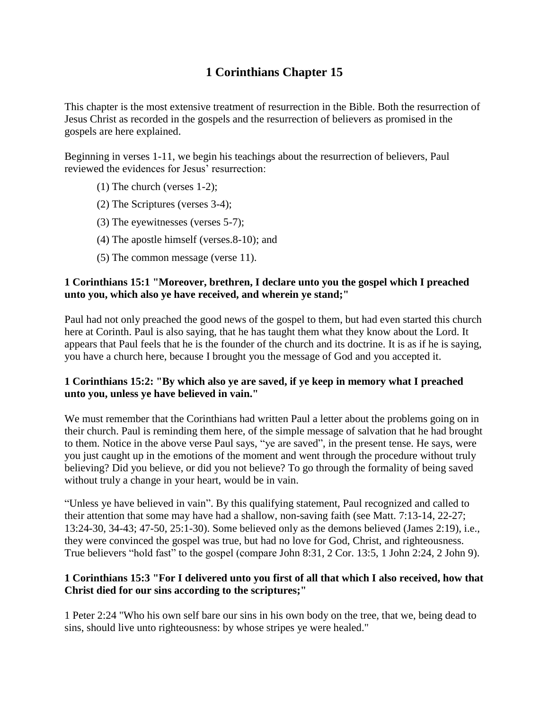# **1 Corinthians Chapter 15**

This chapter is the most extensive treatment of resurrection in the Bible. Both the resurrection of Jesus Christ as recorded in the gospels and the resurrection of believers as promised in the gospels are here explained.

Beginning in verses 1-11, we begin his teachings about the resurrection of believers, Paul reviewed the evidences for Jesus' resurrection:

- (1) The church (verses 1-2);
- (2) The Scriptures (verses 3-4);
- (3) The eyewitnesses (verses 5-7);
- (4) The apostle himself (verses.8-10); and
- (5) The common message (verse 11).

## **1 Corinthians 15:1 "Moreover, brethren, I declare unto you the gospel which I preached unto you, which also ye have received, and wherein ye stand;"**

Paul had not only preached the good news of the gospel to them, but had even started this church here at Corinth. Paul is also saying, that he has taught them what they know about the Lord. It appears that Paul feels that he is the founder of the church and its doctrine. It is as if he is saying, you have a church here, because I brought you the message of God and you accepted it.

# **1 Corinthians 15:2: "By which also ye are saved, if ye keep in memory what I preached unto you, unless ye have believed in vain."**

We must remember that the Corinthians had written Paul a letter about the problems going on in their church. Paul is reminding them here, of the simple message of salvation that he had brought to them. Notice in the above verse Paul says, "ye are saved", in the present tense. He says, were you just caught up in the emotions of the moment and went through the procedure without truly believing? Did you believe, or did you not believe? To go through the formality of being saved without truly a change in your heart, would be in vain.

"Unless ye have believed in vain". By this qualifying statement, Paul recognized and called to their attention that some may have had a shallow, non-saving faith (see Matt. 7:13-14, 22-27; 13:24-30, 34-43; 47-50, 25:1-30). Some believed only as the demons believed (James 2:19), i.e., they were convinced the gospel was true, but had no love for God, Christ, and righteousness. True believers "hold fast" to the gospel (compare John 8:31, 2 Cor. 13:5, 1 John 2:24, 2 John 9).

# **1 Corinthians 15:3 "For I delivered unto you first of all that which I also received, how that Christ died for our sins according to the scriptures;"**

1 Peter 2:24 "Who his own self bare our sins in his own body on the tree, that we, being dead to sins, should live unto righteousness: by whose stripes ye were healed."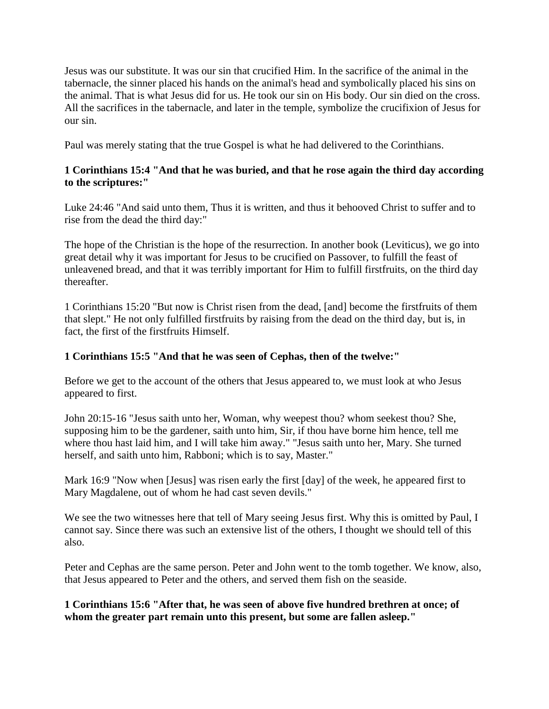Jesus was our substitute. It was our sin that crucified Him. In the sacrifice of the animal in the tabernacle, the sinner placed his hands on the animal's head and symbolically placed his sins on the animal. That is what Jesus did for us. He took our sin on His body. Our sin died on the cross. All the sacrifices in the tabernacle, and later in the temple, symbolize the crucifixion of Jesus for our sin.

Paul was merely stating that the true Gospel is what he had delivered to the Corinthians.

## **1 Corinthians 15:4 "And that he was buried, and that he rose again the third day according to the scriptures:"**

Luke 24:46 "And said unto them, Thus it is written, and thus it behooved Christ to suffer and to rise from the dead the third day:"

The hope of the Christian is the hope of the resurrection. In another book (Leviticus), we go into great detail why it was important for Jesus to be crucified on Passover, to fulfill the feast of unleavened bread, and that it was terribly important for Him to fulfill firstfruits, on the third day thereafter.

1 Corinthians 15:20 "But now is Christ risen from the dead, [and] become the firstfruits of them that slept." He not only fulfilled firstfruits by raising from the dead on the third day, but is, in fact, the first of the firstfruits Himself.

#### **1 Corinthians 15:5 "And that he was seen of Cephas, then of the twelve:"**

Before we get to the account of the others that Jesus appeared to, we must look at who Jesus appeared to first.

John 20:15-16 "Jesus saith unto her, Woman, why weepest thou? whom seekest thou? She, supposing him to be the gardener, saith unto him, Sir, if thou have borne him hence, tell me where thou hast laid him, and I will take him away." "Jesus saith unto her, Mary. She turned herself, and saith unto him, Rabboni; which is to say, Master."

Mark 16:9 "Now when [Jesus] was risen early the first [day] of the week, he appeared first to Mary Magdalene, out of whom he had cast seven devils."

We see the two witnesses here that tell of Mary seeing Jesus first. Why this is omitted by Paul, I cannot say. Since there was such an extensive list of the others, I thought we should tell of this also.

Peter and Cephas are the same person. Peter and John went to the tomb together. We know, also, that Jesus appeared to Peter and the others, and served them fish on the seaside.

**1 Corinthians 15:6 "After that, he was seen of above five hundred brethren at once; of whom the greater part remain unto this present, but some are fallen asleep."**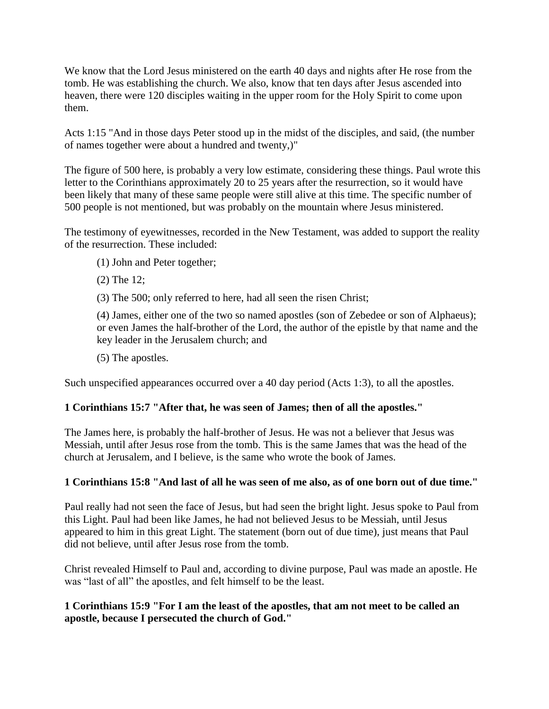We know that the Lord Jesus ministered on the earth 40 days and nights after He rose from the tomb. He was establishing the church. We also, know that ten days after Jesus ascended into heaven, there were 120 disciples waiting in the upper room for the Holy Spirit to come upon them.

Acts 1:15 "And in those days Peter stood up in the midst of the disciples, and said, (the number of names together were about a hundred and twenty,)"

The figure of 500 here, is probably a very low estimate, considering these things. Paul wrote this letter to the Corinthians approximately 20 to 25 years after the resurrection, so it would have been likely that many of these same people were still alive at this time. The specific number of 500 people is not mentioned, but was probably on the mountain where Jesus ministered.

The testimony of eyewitnesses, recorded in the New Testament, was added to support the reality of the resurrection. These included:

- (1) John and Peter together;
- (2) The 12;
- (3) The 500; only referred to here, had all seen the risen Christ;

(4) James, either one of the two so named apostles (son of Zebedee or son of Alphaeus); or even James the half-brother of the Lord, the author of the epistle by that name and the key leader in the Jerusalem church; and

(5) The apostles.

Such unspecified appearances occurred over a 40 day period (Acts 1:3), to all the apostles.

#### **1 Corinthians 15:7 "After that, he was seen of James; then of all the apostles."**

The James here, is probably the half-brother of Jesus. He was not a believer that Jesus was Messiah, until after Jesus rose from the tomb. This is the same James that was the head of the church at Jerusalem, and I believe, is the same who wrote the book of James.

# **1 Corinthians 15:8 "And last of all he was seen of me also, as of one born out of due time."**

Paul really had not seen the face of Jesus, but had seen the bright light. Jesus spoke to Paul from this Light. Paul had been like James, he had not believed Jesus to be Messiah, until Jesus appeared to him in this great Light. The statement (born out of due time), just means that Paul did not believe, until after Jesus rose from the tomb.

Christ revealed Himself to Paul and, according to divine purpose, Paul was made an apostle. He was "last of all" the apostles, and felt himself to be the least.

## **1 Corinthians 15:9 "For I am the least of the apostles, that am not meet to be called an apostle, because I persecuted the church of God."**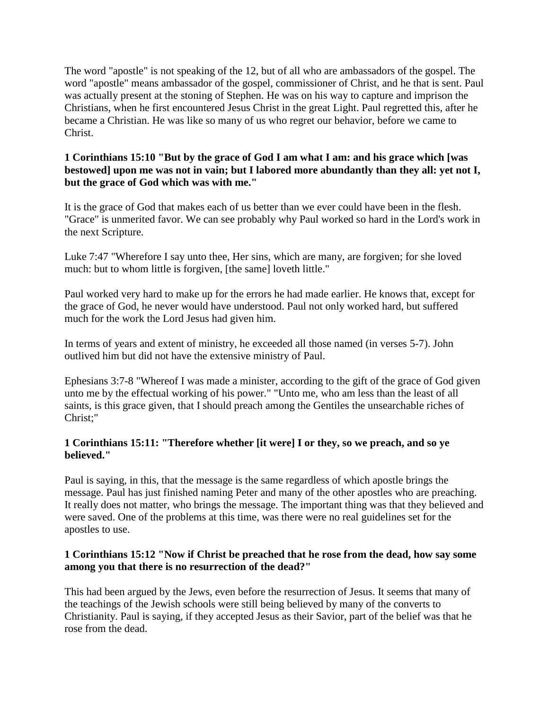The word "apostle" is not speaking of the 12, but of all who are ambassadors of the gospel. The word "apostle" means ambassador of the gospel, commissioner of Christ, and he that is sent. Paul was actually present at the stoning of Stephen. He was on his way to capture and imprison the Christians, when he first encountered Jesus Christ in the great Light. Paul regretted this, after he became a Christian. He was like so many of us who regret our behavior, before we came to Christ.

## **1 Corinthians 15:10 "But by the grace of God I am what I am: and his grace which [was bestowed] upon me was not in vain; but I labored more abundantly than they all: yet not I, but the grace of God which was with me."**

It is the grace of God that makes each of us better than we ever could have been in the flesh. "Grace" is unmerited favor. We can see probably why Paul worked so hard in the Lord's work in the next Scripture.

Luke 7:47 "Wherefore I say unto thee, Her sins, which are many, are forgiven; for she loved much: but to whom little is forgiven, [the same] loveth little."

Paul worked very hard to make up for the errors he had made earlier. He knows that, except for the grace of God, he never would have understood. Paul not only worked hard, but suffered much for the work the Lord Jesus had given him.

In terms of years and extent of ministry, he exceeded all those named (in verses 5-7). John outlived him but did not have the extensive ministry of Paul.

Ephesians 3:7-8 "Whereof I was made a minister, according to the gift of the grace of God given unto me by the effectual working of his power." "Unto me, who am less than the least of all saints, is this grace given, that I should preach among the Gentiles the unsearchable riches of Christ;"

# **1 Corinthians 15:11: "Therefore whether [it were] I or they, so we preach, and so ye believed."**

Paul is saying, in this, that the message is the same regardless of which apostle brings the message. Paul has just finished naming Peter and many of the other apostles who are preaching. It really does not matter, who brings the message. The important thing was that they believed and were saved. One of the problems at this time, was there were no real guidelines set for the apostles to use.

## **1 Corinthians 15:12 "Now if Christ be preached that he rose from the dead, how say some among you that there is no resurrection of the dead?"**

This had been argued by the Jews, even before the resurrection of Jesus. It seems that many of the teachings of the Jewish schools were still being believed by many of the converts to Christianity. Paul is saying, if they accepted Jesus as their Savior, part of the belief was that he rose from the dead.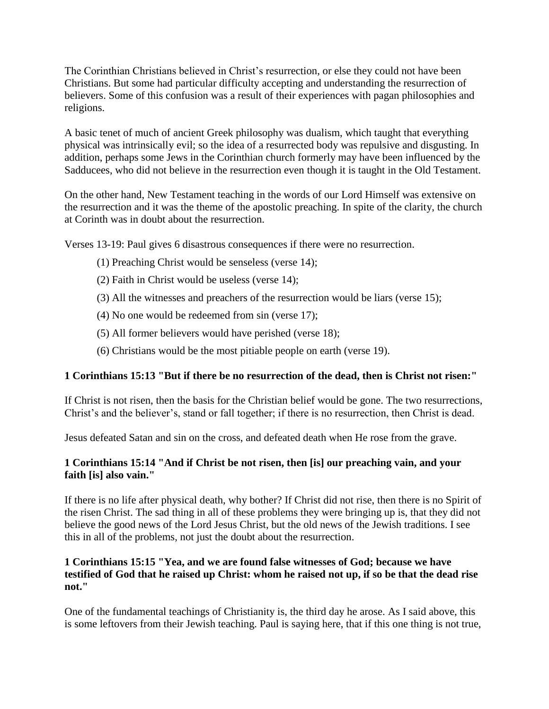The Corinthian Christians believed in Christ's resurrection, or else they could not have been Christians. But some had particular difficulty accepting and understanding the resurrection of believers. Some of this confusion was a result of their experiences with pagan philosophies and religions.

A basic tenet of much of ancient Greek philosophy was dualism, which taught that everything physical was intrinsically evil; so the idea of a resurrected body was repulsive and disgusting. In addition, perhaps some Jews in the Corinthian church formerly may have been influenced by the Sadducees, who did not believe in the resurrection even though it is taught in the Old Testament.

On the other hand, New Testament teaching in the words of our Lord Himself was extensive on the resurrection and it was the theme of the apostolic preaching. In spite of the clarity, the church at Corinth was in doubt about the resurrection.

Verses 13-19: Paul gives 6 disastrous consequences if there were no resurrection.

- (1) Preaching Christ would be senseless (verse 14);
- (2) Faith in Christ would be useless (verse 14);
- (3) All the witnesses and preachers of the resurrection would be liars (verse 15);
- (4) No one would be redeemed from sin (verse 17);
- (5) All former believers would have perished (verse 18);
- (6) Christians would be the most pitiable people on earth (verse 19).

# **1 Corinthians 15:13 "But if there be no resurrection of the dead, then is Christ not risen:"**

If Christ is not risen, then the basis for the Christian belief would be gone. The two resurrections, Christ's and the believer's, stand or fall together; if there is no resurrection, then Christ is dead.

Jesus defeated Satan and sin on the cross, and defeated death when He rose from the grave.

# **1 Corinthians 15:14 "And if Christ be not risen, then [is] our preaching vain, and your faith [is] also vain."**

If there is no life after physical death, why bother? If Christ did not rise, then there is no Spirit of the risen Christ. The sad thing in all of these problems they were bringing up is, that they did not believe the good news of the Lord Jesus Christ, but the old news of the Jewish traditions. I see this in all of the problems, not just the doubt about the resurrection.

## **1 Corinthians 15:15 "Yea, and we are found false witnesses of God; because we have testified of God that he raised up Christ: whom he raised not up, if so be that the dead rise not."**

One of the fundamental teachings of Christianity is, the third day he arose. As I said above, this is some leftovers from their Jewish teaching. Paul is saying here, that if this one thing is not true,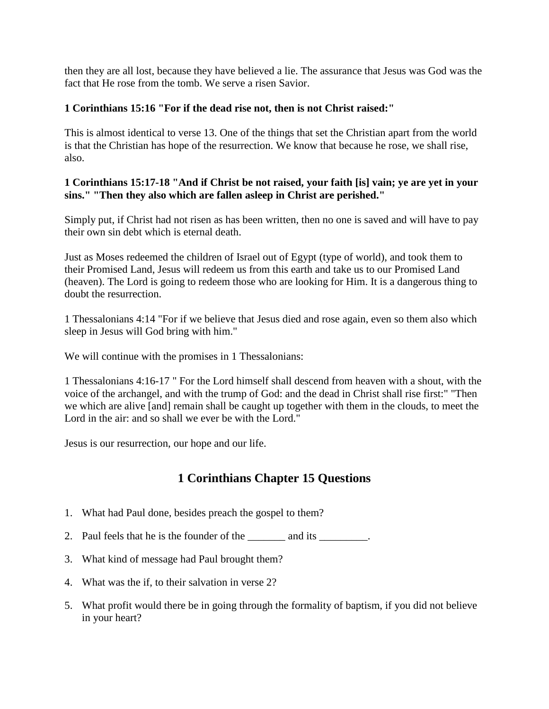then they are all lost, because they have believed a lie. The assurance that Jesus was God was the fact that He rose from the tomb. We serve a risen Savior.

# **1 Corinthians 15:16 "For if the dead rise not, then is not Christ raised:"**

This is almost identical to verse 13. One of the things that set the Christian apart from the world is that the Christian has hope of the resurrection. We know that because he rose, we shall rise, also.

# **1 Corinthians 15:17-18 "And if Christ be not raised, your faith [is] vain; ye are yet in your sins." "Then they also which are fallen asleep in Christ are perished."**

Simply put, if Christ had not risen as has been written, then no one is saved and will have to pay their own sin debt which is eternal death.

Just as Moses redeemed the children of Israel out of Egypt (type of world), and took them to their Promised Land, Jesus will redeem us from this earth and take us to our Promised Land (heaven). The Lord is going to redeem those who are looking for Him. It is a dangerous thing to doubt the resurrection.

1 Thessalonians 4:14 "For if we believe that Jesus died and rose again, even so them also which sleep in Jesus will God bring with him."

We will continue with the promises in 1 Thessalonians:

1 Thessalonians 4:16-17 " For the Lord himself shall descend from heaven with a shout, with the voice of the archangel, and with the trump of God: and the dead in Christ shall rise first:" "Then we which are alive [and] remain shall be caught up together with them in the clouds, to meet the Lord in the air: and so shall we ever be with the Lord."

Jesus is our resurrection, our hope and our life.

# **1 Corinthians Chapter 15 Questions**

- 1. What had Paul done, besides preach the gospel to them?
- 2. Paul feels that he is the founder of the \_\_\_\_\_\_\_ and its \_\_\_\_\_\_\_\_.
- 3. What kind of message had Paul brought them?
- 4. What was the if, to their salvation in verse 2?
- 5. What profit would there be in going through the formality of baptism, if you did not believe in your heart?